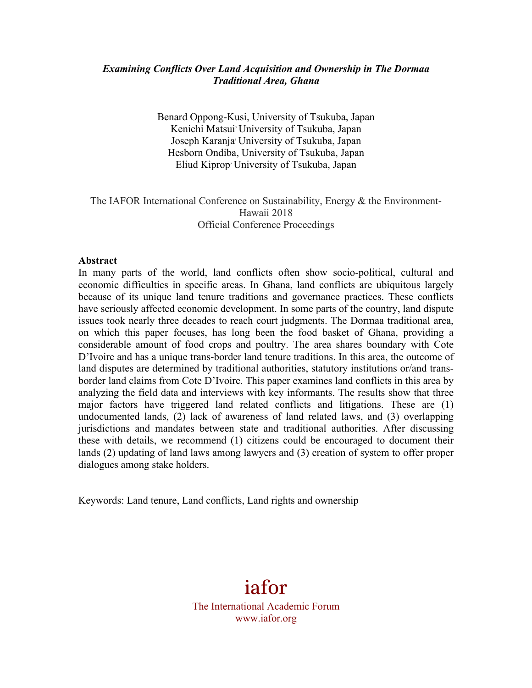## *Examining Conflicts Over Land Acquisition and Ownership in The Dormaa Traditional Area, Ghana*

Benard Oppong-Kusi, University of Tsukuba, Japan Kenichi Matsui<sup>,</sup> University of Tsukuba, Japan Joseph Karanja, University of Tsukuba, Japan Hesborn Ondiba, University of Tsukuba, Japan Eliud Kiprop, University of Tsukuba, Japan

## The IAFOR International Conference on Sustainability, Energy & the Environment-Hawaii 2018 Official Conference Proceedings

#### **Abstract**

In many parts of the world, land conflicts often show socio-political, cultural and economic difficulties in specific areas. In Ghana, land conflicts are ubiquitous largely because of its unique land tenure traditions and governance practices. These conflicts have seriously affected economic development. In some parts of the country, land dispute issues took nearly three decades to reach court judgments. The Dormaa traditional area, on which this paper focuses, has long been the food basket of Ghana, providing a considerable amount of food crops and poultry. The area shares boundary with Cote D'Ivoire and has a unique trans-border land tenure traditions. In this area, the outcome of land disputes are determined by traditional authorities, statutory institutions or/and transborder land claims from Cote D'Ivoire. This paper examines land conflicts in this area by analyzing the field data and interviews with key informants. The results show that three major factors have triggered land related conflicts and litigations. These are (1) undocumented lands, (2) lack of awareness of land related laws, and (3) overlapping jurisdictions and mandates between state and traditional authorities. After discussing these with details, we recommend (1) citizens could be encouraged to document their lands (2) updating of land laws among lawyers and (3) creation of system to offer proper dialogues among stake holders.

Keywords: Land tenure, Land conflicts, Land rights and ownership

# iafor The International Academic Forum www.iafor.org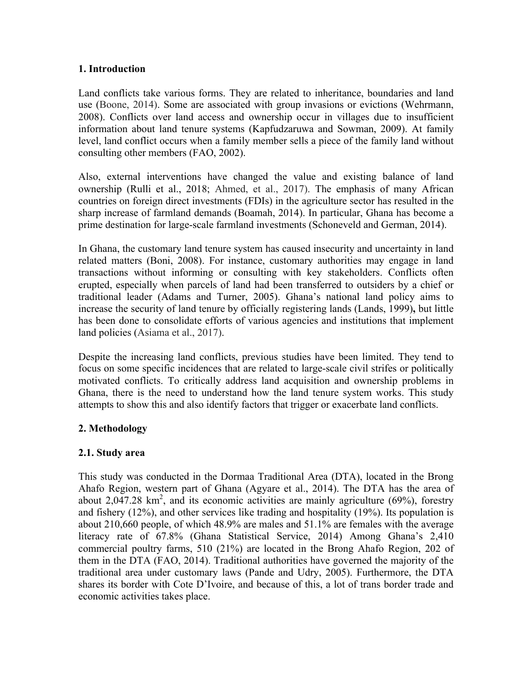## **1. Introduction**

Land conflicts take various forms. They are related to inheritance, boundaries and land use (Boone, 2014). Some are associated with group invasions or evictions (Wehrmann, 2008). Conflicts over land access and ownership occur in villages due to insufficient information about land tenure systems (Kapfudzaruwa and Sowman, 2009). At family level, land conflict occurs when a family member sells a piece of the family land without consulting other members (FAO, 2002).

Also, external interventions have changed the value and existing balance of land ownership (Rulli et al., 2018; Ahmed, et al., 2017). The emphasis of many African countries on foreign direct investments (FDIs) in the agriculture sector has resulted in the sharp increase of farmland demands (Boamah, 2014). In particular, Ghana has become a prime destination for large-scale farmland investments (Schoneveld and German, 2014).

In Ghana, the customary land tenure system has caused insecurity and uncertainty in land related matters (Boni, 2008). For instance, customary authorities may engage in land transactions without informing or consulting with key stakeholders. Conflicts often erupted, especially when parcels of land had been transferred to outsiders by a chief or traditional leader (Adams and Turner, 2005). Ghana's national land policy aims to increase the security of land tenure by officially registering lands (Lands, 1999)**,** but little has been done to consolidate efforts of various agencies and institutions that implement land policies (Asiama et al., 2017).

Despite the increasing land conflicts, previous studies have been limited. They tend to focus on some specific incidences that are related to large-scale civil strifes or politically motivated conflicts. To critically address land acquisition and ownership problems in Ghana, there is the need to understand how the land tenure system works. This study attempts to show this and also identify factors that trigger or exacerbate land conflicts.

# **2. Methodology**

# **2.1. Study area**

This study was conducted in the Dormaa Traditional Area (DTA), located in the Brong Ahafo Region, western part of Ghana (Agyare et al., 2014). The DTA has the area of about 2,047.28  $km^2$ , and its economic activities are mainly agriculture (69%), forestry and fishery (12%), and other services like trading and hospitality (19%). Its population is about 210,660 people, of which 48.9% are males and 51.1% are females with the average literacy rate of 67.8% (Ghana Statistical Service, 2014) Among Ghana's 2,410 commercial poultry farms, 510 (21%) are located in the Brong Ahafo Region, 202 of them in the DTA (FAO, 2014). Traditional authorities have governed the majority of the traditional area under customary laws (Pande and Udry, 2005). Furthermore, the DTA shares its border with Cote D'Ivoire, and because of this, a lot of trans border trade and economic activities takes place.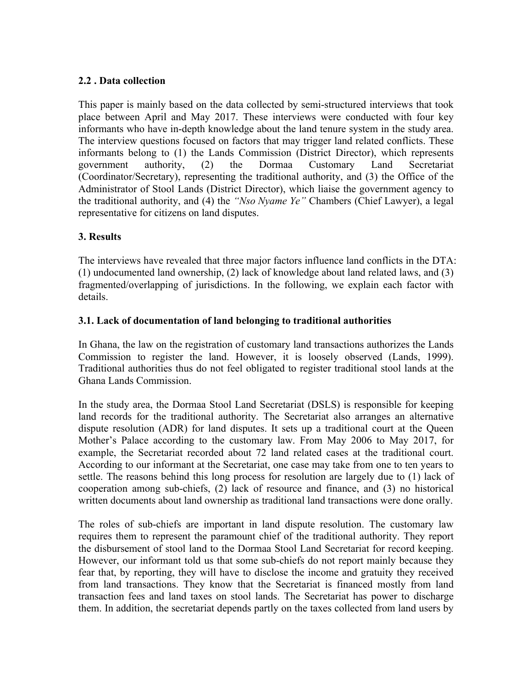# **2.2 . Data collection**

This paper is mainly based on the data collected by semi-structured interviews that took place between April and May 2017. These interviews were conducted with four key informants who have in-depth knowledge about the land tenure system in the study area. The interview questions focused on factors that may trigger land related conflicts. These informants belong to (1) the Lands Commission (District Director), which represents government authority, (2) the Dormaa Customary Land Secretariat (Coordinator/Secretary), representing the traditional authority, and (3) the Office of the Administrator of Stool Lands (District Director), which liaise the government agency to the traditional authority, and (4) the *"Nso Nyame Ye"* Chambers (Chief Lawyer), a legal representative for citizens on land disputes.

# **3. Results**

The interviews have revealed that three major factors influence land conflicts in the DTA: (1) undocumented land ownership, (2) lack of knowledge about land related laws, and (3) fragmented/overlapping of jurisdictions. In the following, we explain each factor with details.

# **3.1. Lack of documentation of land belonging to traditional authorities**

In Ghana, the law on the registration of customary land transactions authorizes the Lands Commission to register the land. However, it is loosely observed (Lands, 1999). Traditional authorities thus do not feel obligated to register traditional stool lands at the Ghana Lands Commission.

In the study area, the Dormaa Stool Land Secretariat (DSLS) is responsible for keeping land records for the traditional authority. The Secretariat also arranges an alternative dispute resolution (ADR) for land disputes. It sets up a traditional court at the Queen Mother's Palace according to the customary law. From May 2006 to May 2017, for example, the Secretariat recorded about 72 land related cases at the traditional court. According to our informant at the Secretariat, one case may take from one to ten years to settle. The reasons behind this long process for resolution are largely due to (1) lack of cooperation among sub-chiefs, (2) lack of resource and finance, and (3) no historical written documents about land ownership as traditional land transactions were done orally.

The roles of sub-chiefs are important in land dispute resolution. The customary law requires them to represent the paramount chief of the traditional authority. They report the disbursement of stool land to the Dormaa Stool Land Secretariat for record keeping. However, our informant told us that some sub-chiefs do not report mainly because they fear that, by reporting, they will have to disclose the income and gratuity they received from land transactions. They know that the Secretariat is financed mostly from land transaction fees and land taxes on stool lands. The Secretariat has power to discharge them. In addition, the secretariat depends partly on the taxes collected from land users by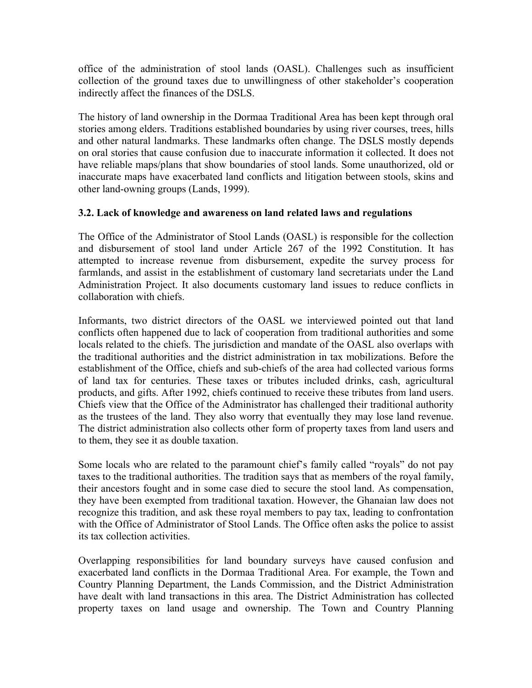office of the administration of stool lands (OASL). Challenges such as insufficient collection of the ground taxes due to unwillingness of other stakeholder's cooperation indirectly affect the finances of the DSLS.

The history of land ownership in the Dormaa Traditional Area has been kept through oral stories among elders. Traditions established boundaries by using river courses, trees, hills and other natural landmarks. These landmarks often change. The DSLS mostly depends on oral stories that cause confusion due to inaccurate information it collected. It does not have reliable maps/plans that show boundaries of stool lands. Some unauthorized, old or inaccurate maps have exacerbated land conflicts and litigation between stools, skins and other land-owning groups (Lands, 1999).

# **3.2. Lack of knowledge and awareness on land related laws and regulations**

The Office of the Administrator of Stool Lands (OASL) is responsible for the collection and disbursement of stool land under Article 267 of the 1992 Constitution. It has attempted to increase revenue from disbursement, expedite the survey process for farmlands, and assist in the establishment of customary land secretariats under the Land Administration Project. It also documents customary land issues to reduce conflicts in collaboration with chiefs.

Informants, two district directors of the OASL we interviewed pointed out that land conflicts often happened due to lack of cooperation from traditional authorities and some locals related to the chiefs. The jurisdiction and mandate of the OASL also overlaps with the traditional authorities and the district administration in tax mobilizations. Before the establishment of the Office, chiefs and sub-chiefs of the area had collected various forms of land tax for centuries. These taxes or tributes included drinks, cash, agricultural products, and gifts. After 1992, chiefs continued to receive these tributes from land users. Chiefs view that the Office of the Administrator has challenged their traditional authority as the trustees of the land. They also worry that eventually they may lose land revenue. The district administration also collects other form of property taxes from land users and to them, they see it as double taxation.

Some locals who are related to the paramount chief's family called "royals" do not pay taxes to the traditional authorities. The tradition says that as members of the royal family, their ancestors fought and in some case died to secure the stool land. As compensation, they have been exempted from traditional taxation. However, the Ghanaian law does not recognize this tradition, and ask these royal members to pay tax, leading to confrontation with the Office of Administrator of Stool Lands. The Office often asks the police to assist its tax collection activities.

Overlapping responsibilities for land boundary surveys have caused confusion and exacerbated land conflicts in the Dormaa Traditional Area. For example, the Town and Country Planning Department, the Lands Commission, and the District Administration have dealt with land transactions in this area. The District Administration has collected property taxes on land usage and ownership. The Town and Country Planning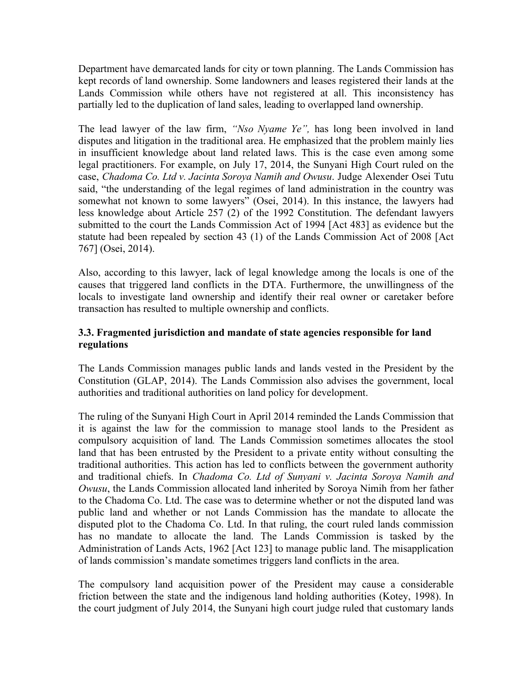Department have demarcated lands for city or town planning. The Lands Commission has kept records of land ownership. Some landowners and leases registered their lands at the Lands Commission while others have not registered at all. This inconsistency has partially led to the duplication of land sales, leading to overlapped land ownership.

The lead lawyer of the law firm, *"Nso Nyame Ye",* has long been involved in land disputes and litigation in the traditional area. He emphasized that the problem mainly lies in insufficient knowledge about land related laws. This is the case even among some legal practitioners. For example, on July 17, 2014, the Sunyani High Court ruled on the case, *Chadoma Co. Ltd v. Jacinta Soroya Namih and Owusu*. Judge Alexender Osei Tutu said, "the understanding of the legal regimes of land administration in the country was somewhat not known to some lawyers" (Osei, 2014). In this instance, the lawyers had less knowledge about Article 257 (2) of the 1992 Constitution. The defendant lawyers submitted to the court the Lands Commission Act of 1994 [Act 483] as evidence but the statute had been repealed by section 43 (1) of the Lands Commission Act of 2008 [Act 767] (Osei, 2014).

Also, according to this lawyer, lack of legal knowledge among the locals is one of the causes that triggered land conflicts in the DTA. Furthermore, the unwillingness of the locals to investigate land ownership and identify their real owner or caretaker before transaction has resulted to multiple ownership and conflicts.

# **3.3. Fragmented jurisdiction and mandate of state agencies responsible for land regulations**

The Lands Commission manages public lands and lands vested in the President by the Constitution (GLAP, 2014). The Lands Commission also advises the government, local authorities and traditional authorities on land policy for development.

The ruling of the Sunyani High Court in April 2014 reminded the Lands Commission that it is against the law for the commission to manage stool lands to the President as compulsory acquisition of land*.* The Lands Commission sometimes allocates the stool land that has been entrusted by the President to a private entity without consulting the traditional authorities. This action has led to conflicts between the government authority and traditional chiefs. In *Chadoma Co. Ltd of Sunyani v. Jacinta Soroya Namih and Owusu*, the Lands Commission allocated land inherited by Soroya Nimih from her father to the Chadoma Co. Ltd. The case was to determine whether or not the disputed land was public land and whether or not Lands Commission has the mandate to allocate the disputed plot to the Chadoma Co. Ltd. In that ruling, the court ruled lands commission has no mandate to allocate the land. The Lands Commission is tasked by the Administration of Lands Acts, 1962 [Act 123] to manage public land. The misapplication of lands commission's mandate sometimes triggers land conflicts in the area.

The compulsory land acquisition power of the President may cause a considerable friction between the state and the indigenous land holding authorities (Kotey, 1998). In the court judgment of July 2014, the Sunyani high court judge ruled that customary lands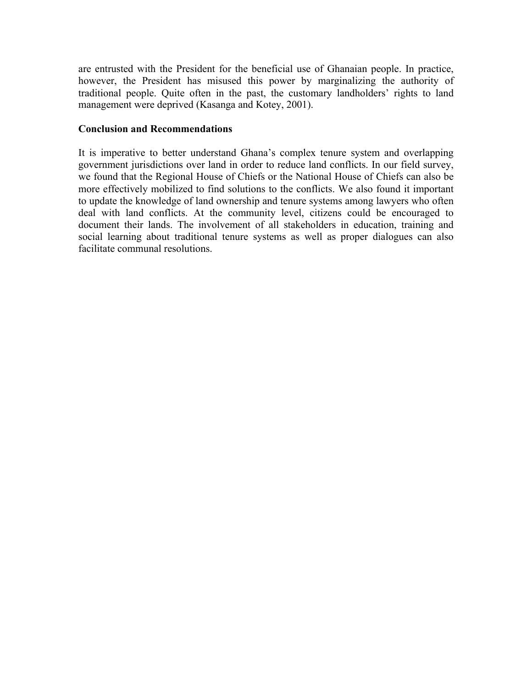are entrusted with the President for the beneficial use of Ghanaian people. In practice, however, the President has misused this power by marginalizing the authority of traditional people. Quite often in the past, the customary landholders' rights to land management were deprived (Kasanga and Kotey, 2001).

## **Conclusion and Recommendations**

It is imperative to better understand Ghana's complex tenure system and overlapping government jurisdictions over land in order to reduce land conflicts. In our field survey, we found that the Regional House of Chiefs or the National House of Chiefs can also be more effectively mobilized to find solutions to the conflicts. We also found it important to update the knowledge of land ownership and tenure systems among lawyers who often deal with land conflicts. At the community level, citizens could be encouraged to document their lands. The involvement of all stakeholders in education, training and social learning about traditional tenure systems as well as proper dialogues can also facilitate communal resolutions.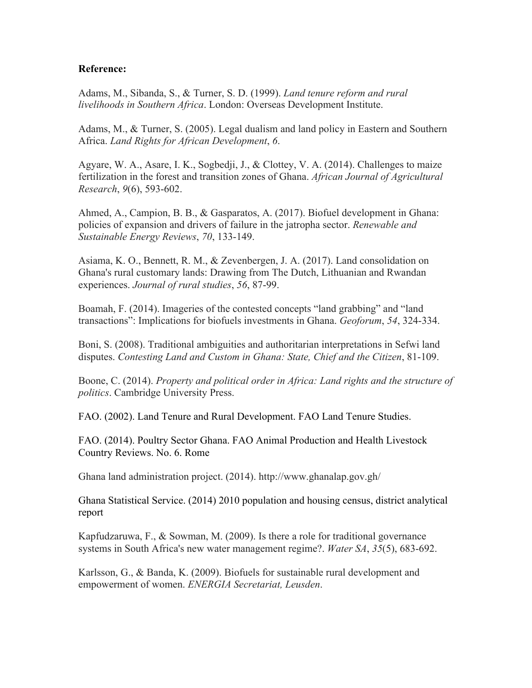## **Reference:**

Adams, M., Sibanda, S., & Turner, S. D. (1999). *Land tenure reform and rural livelihoods in Southern Africa*. London: Overseas Development Institute.

Adams, M., & Turner, S. (2005). Legal dualism and land policy in Eastern and Southern Africa. *Land Rights for African Development*, *6*.

Agyare, W. A., Asare, I. K., Sogbedji, J., & Clottey, V. A. (2014). Challenges to maize fertilization in the forest and transition zones of Ghana. *African Journal of Agricultural Research*, *9*(6), 593-602.

Ahmed, A., Campion, B. B., & Gasparatos, A. (2017). Biofuel development in Ghana: policies of expansion and drivers of failure in the jatropha sector. *Renewable and Sustainable Energy Reviews*, *70*, 133-149.

Asiama, K. O., Bennett, R. M., & Zevenbergen, J. A. (2017). Land consolidation on Ghana's rural customary lands: Drawing from The Dutch, Lithuanian and Rwandan experiences. *Journal of rural studies*, *56*, 87-99.

Boamah, F. (2014). Imageries of the contested concepts "land grabbing" and "land transactions": Implications for biofuels investments in Ghana. *Geoforum*, *54*, 324-334.

Boni, S. (2008). Traditional ambiguities and authoritarian interpretations in Sefwi land disputes. *Contesting Land and Custom in Ghana: State, Chief and the Citizen*, 81-109.

Boone, C. (2014). *Property and political order in Africa: Land rights and the structure of politics*. Cambridge University Press.

FAO. (2002). Land Tenure and Rural Development. FAO Land Tenure Studies.

FAO. (2014). Poultry Sector Ghana. FAO Animal Production and Health Livestock Country Reviews. No. 6. Rome

Ghana land administration project. (2014). http://www.ghanalap.gov.gh/

Ghana Statistical Service. (2014) 2010 population and housing census, district analytical report

Kapfudzaruwa, F., & Sowman, M. (2009). Is there a role for traditional governance systems in South Africa's new water management regime?. *Water SA*, *35*(5), 683-692.

Karlsson, G., & Banda, K. (2009). Biofuels for sustainable rural development and empowerment of women. *ENERGIA Secretariat, Leusden*.